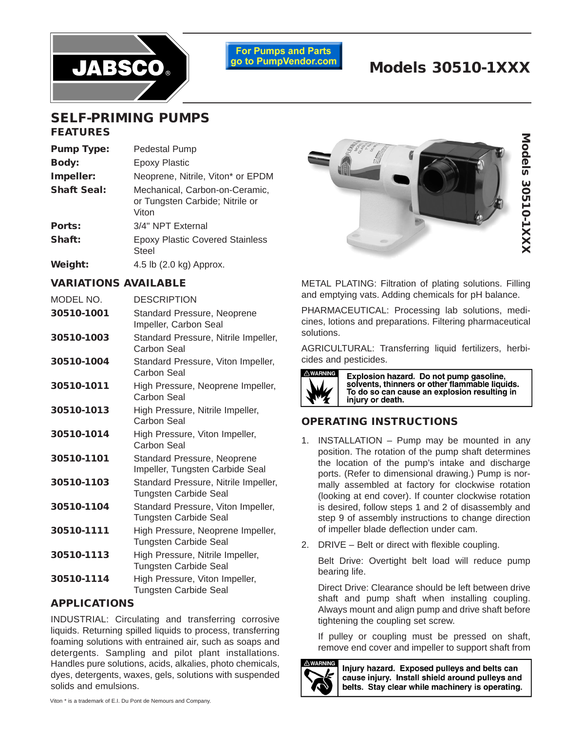

**For Pumps and Parts** go to PumpVendor.com

# **Models 30510-1XXX**

## **SELF-PRIMING PUMPS FEATURES**

| <b>Pump Type:</b>  | Pedestal Pump                                                              |
|--------------------|----------------------------------------------------------------------------|
| <b>Body:</b>       | <b>Epoxy Plastic</b>                                                       |
| Impeller:          | Neoprene, Nitrile, Viton* or EPDM                                          |
| <b>Shaft Seal:</b> | Mechanical, Carbon-on-Ceramic,<br>or Tungsten Carbide; Nitrile or<br>Viton |
| Ports:             | 3/4" NPT External                                                          |
| Shaft:             | <b>Epoxy Plastic Covered Stainless</b><br>Steel                            |
| Weight:            | 4.5 lb (2.0 kg) Approx.                                                    |

#### **VARIATIONS AVAILABLE**

| MODEL NO.  | <b>DESCRIPTION</b>                                                    |
|------------|-----------------------------------------------------------------------|
| 30510-1001 | <b>Standard Pressure, Neoprene</b><br>Impeller, Carbon Seal           |
| 30510-1003 | Standard Pressure, Nitrile Impeller,<br>Carbon Seal                   |
| 30510-1004 | Standard Pressure, Viton Impeller,<br>Carbon Seal                     |
| 30510-1011 | High Pressure, Neoprene Impeller,<br>Carbon Seal                      |
| 30510-1013 | High Pressure, Nitrile Impeller,<br>Carbon Seal                       |
| 30510-1014 | High Pressure, Viton Impeller,<br>Carbon Seal                         |
| 30510-1101 | <b>Standard Pressure, Neoprene</b><br>Impeller, Tungsten Carbide Seal |
| 30510-1103 | Standard Pressure, Nitrile Impeller,<br><b>Tungsten Carbide Seal</b>  |
| 30510-1104 | Standard Pressure, Viton Impeller,<br><b>Tungsten Carbide Seal</b>    |
| 30510-1111 | High Pressure, Neoprene Impeller,<br><b>Tungsten Carbide Seal</b>     |
| 30510-1113 | High Pressure, Nitrile Impeller,<br><b>Tungsten Carbide Seal</b>      |
| 30510-1114 | High Pressure, Viton Impeller,<br><b>Tungsten Carbide Seal</b>        |

#### **APPLICATIONS**

INDUSTRIAL: Circulating and transferring corrosive liquids. Returning spilled liquids to process, transferring foaming solutions with entrained air, such as soaps and detergents. Sampling and pilot plant installations. Handles pure solutions, acids, alkalies, photo chemicals, dyes, detergents, waxes, gels, solutions with suspended solids and emulsions.



METAL PLATING: Filtration of plating solutions. Filling and emptying vats. Adding chemicals for pH balance.

PHARMACEUTICAL: Processing lab solutions, medicines, lotions and preparations. Filtering pharmaceutical solutions.

AGRICULTURAL: Transferring liquid fertilizers, herbicides and pesticides.



Explosion hazard. Do not pump gasoline, solvents, thinners or other flammable liquids. To do so can cause an explosion resulting in injury or death.

## **OPERATING INSTRUCTIONS**

- 1. INSTALLATION Pump may be mounted in any position. The rotation of the pump shaft determines the location of the pump's intake and discharge ports. (Refer to dimensional drawing.) Pump is normally assembled at factory for clockwise rotation (looking at end cover). If counter clockwise rotation is desired, follow steps 1 and 2 of disassembly and step 9 of assembly instructions to change direction of impeller blade deflection under cam.
- 2. DRIVE Belt or direct with flexible coupling.

Belt Drive: Overtight belt load will reduce pump bearing life.

Direct Drive: Clearance should be left between drive shaft and pump shaft when installing coupling. Always mount and align pump and drive shaft before tightening the coupling set screw.

If pulley or coupling must be pressed on shaft, remove end cover and impeller to support shaft from



Injury hazard. Exposed pulleys and belts can cause iniury. Install shield around pulleys and belts. Stay clear while machinery is operating.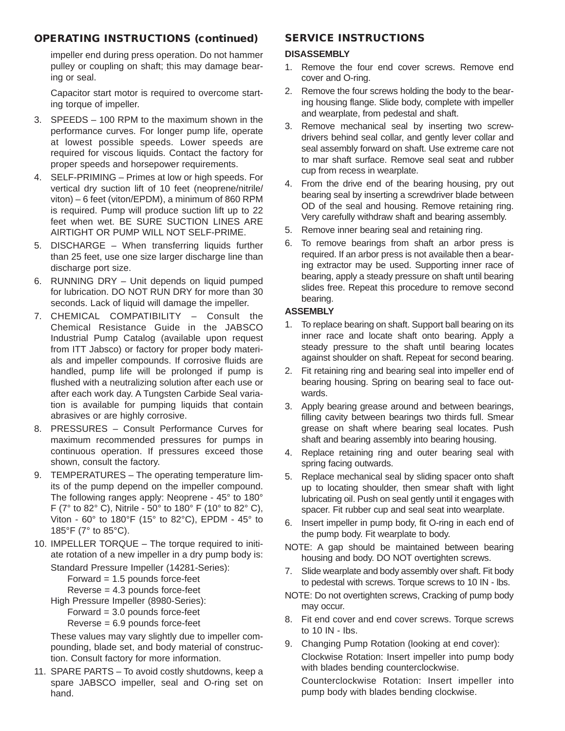## **OPERATING INSTRUCTIONS (continued)**

impeller end during press operation. Do not hammer pulley or coupling on shaft; this may damage bearing or seal.

Capacitor start motor is required to overcome starting torque of impeller.

- 3. SPEEDS 100 RPM to the maximum shown in the performance curves. For longer pump life, operate at lowest possible speeds. Lower speeds are required for viscous liquids. Contact the factory for proper speeds and horsepower requirements.
- 4. SELF-PRIMING Primes at low or high speeds. For vertical dry suction lift of 10 feet (neoprene/nitrile/ viton) – 6 feet (viton/EPDM), a minimum of 860 RPM is required. Pump will produce suction lift up to 22 feet when wet. BE SURE SUCTION LINES ARE AIRTIGHT OR PUMP WILL NOT SELF-PRIME.
- 5. DISCHARGE When transferring liquids further than 25 feet, use one size larger discharge line than discharge port size.
- 6. RUNNING DRY Unit depends on liquid pumped for lubrication. DO NOT RUN DRY for more than 30 seconds. Lack of liquid will damage the impeller.
- 7. CHEMICAL COMPATIBILITY Consult the Chemical Resistance Guide in the JABSCO Industrial Pump Catalog (available upon request from ITT Jabsco) or factory for proper body materials and impeller compounds. If corrosive fluids are handled, pump life will be prolonged if pump is flushed with a neutralizing solution after each use or after each work day. A Tungsten Carbide Seal variation is available for pumping liquids that contain abrasives or are highly corrosive.
- 8. PRESSURES Consult Performance Curves for maximum recommended pressures for pumps in continuous operation. If pressures exceed those shown, consult the factory.
- 9. TEMPERATURES The operating temperature limits of the pump depend on the impeller compound. The following ranges apply: Neoprene - 45° to 180° F ( $7^{\circ}$  to 82 $^{\circ}$  C), Nitrile -  $50^{\circ}$  to 180 $^{\circ}$  F (10 $^{\circ}$  to 82 $^{\circ}$  C), Viton - 60° to 180°F (15° to 82°C), EPDM - 45° to 185°F (7° to 85°C).
- 10. IMPELLER TORQUE The torque required to initiate rotation of a new impeller in a dry pump body is:

Standard Pressure Impeller (14281-Series):

Forward = 1.5 pounds force-feet

Reverse = 4.3 pounds force-feet

High Pressure Impeller (8980-Series):

Forward = 3.0 pounds force-feet

Reverse = 6.9 pounds force-feet

These values may vary slightly due to impeller compounding, blade set, and body material of construction. Consult factory for more information.

11. SPARE PARTS – To avoid costly shutdowns, keep a spare JABSCO impeller, seal and O-ring set on hand.

#### **SERVICE INSTRUCTIONS**

#### **DISASSEMBLY**

- 1. Remove the four end cover screws. Remove end cover and O-ring.
- 2. Remove the four screws holding the body to the bearing housing flange. Slide body, complete with impeller and wearplate, from pedestal and shaft.
- 3. Remove mechanical seal by inserting two screwdrivers behind seal collar, and gently lever collar and seal assembly forward on shaft. Use extreme care not to mar shaft surface. Remove seal seat and rubber cup from recess in wearplate.
- 4. From the drive end of the bearing housing, pry out bearing seal by inserting a screwdriver blade between OD of the seal and housing. Remove retaining ring. Very carefully withdraw shaft and bearing assembly.
- 5. Remove inner bearing seal and retaining ring.
- 6. To remove bearings from shaft an arbor press is required. If an arbor press is not available then a bearing extractor may be used. Supporting inner race of bearing, apply a steady pressure on shaft until bearing slides free. Repeat this procedure to remove second bearing.

#### **ASSEMBLY**

- 1. To replace bearing on shaft. Support ball bearing on its inner race and locate shaft onto bearing. Apply a steady pressure to the shaft until bearing locates against shoulder on shaft. Repeat for second bearing.
- 2. Fit retaining ring and bearing seal into impeller end of bearing housing. Spring on bearing seal to face outwards.
- 3. Apply bearing grease around and between bearings, filling cavity between bearings two thirds full. Smear grease on shaft where bearing seal locates. Push shaft and bearing assembly into bearing housing.
- 4. Replace retaining ring and outer bearing seal with spring facing outwards.
- 5. Replace mechanical seal by sliding spacer onto shaft up to locating shoulder, then smear shaft with light lubricating oil. Push on seal gently until it engages with spacer. Fit rubber cup and seal seat into wearplate.
- 6. Insert impeller in pump body, fit O-ring in each end of the pump body. Fit wearplate to body.
- NOTE: A gap should be maintained between bearing housing and body. DO NOT overtighten screws.
- 7. Slide wearplate and body assembly over shaft. Fit body to pedestal with screws. Torque screws to 10 IN - lbs.
- NOTE: Do not overtighten screws, Cracking of pump body may occur.
- 8. Fit end cover and end cover screws. Torque screws to 10 IN - Ibs.
- 9. Changing Pump Rotation (looking at end cover): Clockwise Rotation: Insert impeller into pump body with blades bending counterclockwise.

Counterclockwise Rotation: Insert impeller into pump body with blades bending clockwise.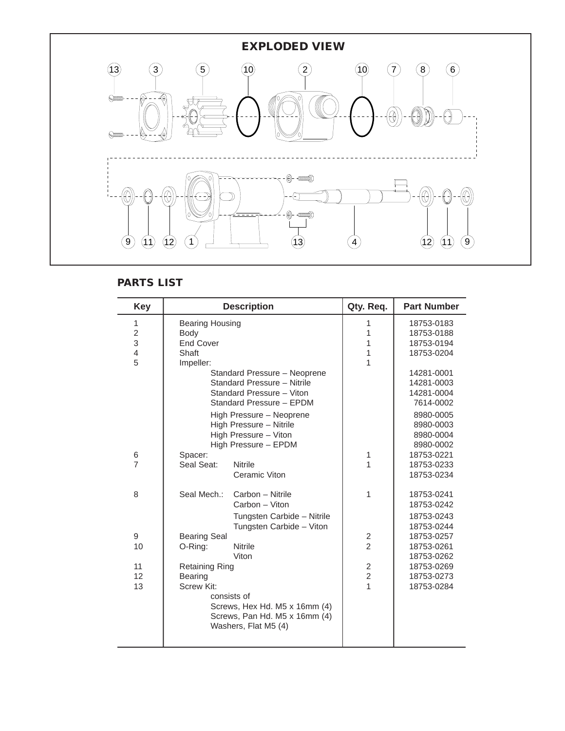

## **PARTS LIST**

| <b>Key</b>     |                        | <b>Description</b>            | Qty. Req.      | <b>Part Number</b> |
|----------------|------------------------|-------------------------------|----------------|--------------------|
| 1              | <b>Bearing Housing</b> |                               | 1              | 18753-0183         |
| $\overline{2}$ | Body                   |                               | 1              | 18753-0188         |
| 3              | <b>End Cover</b>       |                               | 1              | 18753-0194         |
| 4              | Shaft                  |                               | 1              | 18753-0204         |
| 5              | Impeller:              |                               | 1              |                    |
|                |                        | Standard Pressure - Neoprene  |                | 14281-0001         |
|                |                        | Standard Pressure - Nitrile   |                | 14281-0003         |
|                |                        | Standard Pressure - Viton     |                | 14281-0004         |
|                |                        | Standard Pressure - EPDM      |                | 7614-0002          |
|                |                        | High Pressure - Neoprene      |                | 8980-0005          |
|                |                        | High Pressure - Nitrile       |                | 8980-0003          |
|                |                        | High Pressure - Viton         |                | 8980-0004          |
|                |                        | High Pressure - EPDM          |                | 8980-0002          |
| 6              | Spacer:                |                               | 1              | 18753-0221         |
| $\overline{7}$ | Seal Seat:             | <b>Nitrile</b>                | 1              | 18753-0233         |
|                |                        | Ceramic Viton                 |                | 18753-0234         |
| 8              | Seal Mech.:            | Carbon - Nitrile              | 1              | 18753-0241         |
|                |                        | Carbon - Viton                |                | 18753-0242         |
|                |                        | Tungsten Carbide - Nitrile    |                | 18753-0243         |
|                |                        | Tungsten Carbide - Viton      |                | 18753-0244         |
| 9              | <b>Bearing Seal</b>    |                               | $\overline{c}$ | 18753-0257         |
| 10             | O-Ring:                | <b>Nitrile</b>                | $\overline{2}$ | 18753-0261         |
|                |                        | Viton                         |                | 18753-0262         |
| 11             | <b>Retaining Ring</b>  |                               | $\overline{2}$ | 18753-0269         |
| 12             | Bearing                |                               | $\overline{2}$ | 18753-0273         |
| 13             | Screw Kit:             |                               | $\overline{1}$ | 18753-0284         |
|                | consists of            |                               |                |                    |
|                |                        | Screws, Hex Hd. M5 x 16mm (4) |                |                    |
|                |                        | Screws, Pan Hd. M5 x 16mm (4) |                |                    |
|                |                        | Washers, Flat M5 (4)          |                |                    |
|                |                        |                               |                |                    |